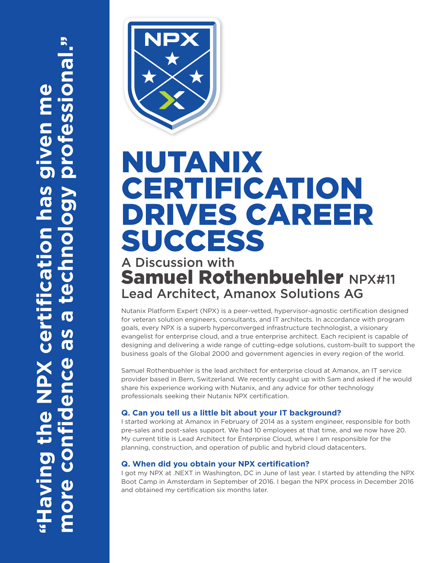

# NUTANIX **CERTIFICATION** DRIVES CAREER SUCCESS

# A Discussion with Samuel Rothenbuehler NPX#11 Lead Architect, Amanox Solutions AG

Nutanix Platform Expert (NPX) is a peer-vetted, hypervisor-agnostic certification designed for veteran solution engineers, consultants, and IT architects. In accordance with program goals, every NPX is a superb hyperconverged infrastructure technologist, a visionary evangelist for enterprise cloud, and a true enterprise architect. Each recipient is capable of designing and delivering a wide range of cutting-edge solutions, custom-built to support the business goals of the Global 2000 and government agencies in every region of the world.

Samuel Rothenbuehler is the lead architect for enterprise cloud at Amanox, an IT service provider based in Bern, Switzerland. We recently caught up with Sam and asked if he would share his experience working with Nutanix, and any advice for other technology professionals seeking their Nutanix NPX certification.

## **Q. Can you tell us a little bit about your IT background?**

I started working at Amanox in February of 2014 as a system engineer, responsible for both pre-sales and post-sales support. We had 10 employees at that time, and we now have 20. My current title is Lead Architect for Enterprise Cloud, where I am responsible for the planning, construction, and operation of public and hybrid cloud datacenters.

## **Q. When did you obtain your NPX certification?**

I got my NPX at .NEXT in Washington, DC in June of last year. I started by attending the NPX Boot Camp in Amsterdam in September of 2016. I began the NPX process in December 2016 and obtained my certification six months later.